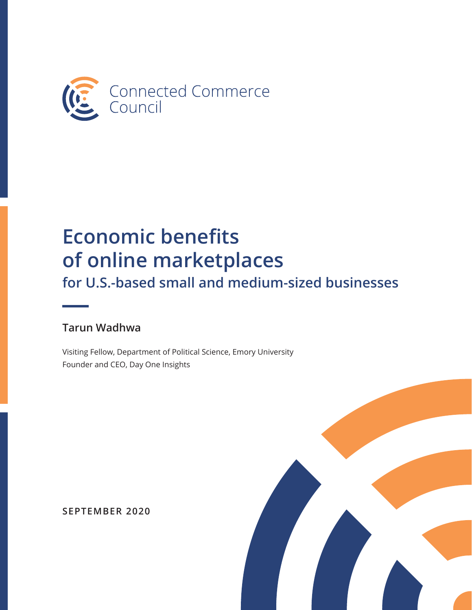<span id="page-0-0"></span>

# **Economic benefits Right** of online marketplaces for U.S.-based small and medium-sized businesses

#### **Tarun Wadhwa**

Visiting Fellow, Department of Political Science, Emory University Founder and CEO, Day One Insights



**SEPTEMBER 2020**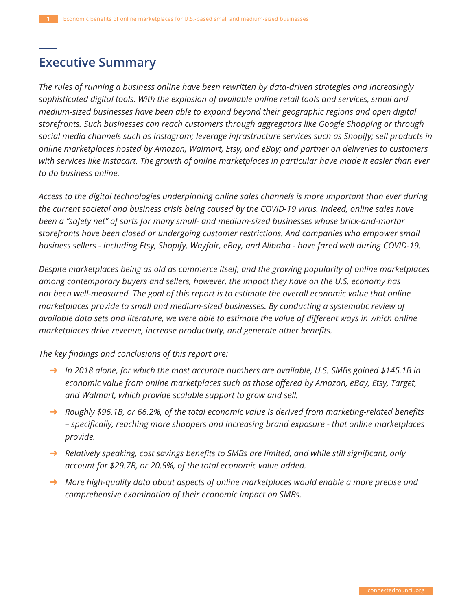## **Executive Summary**

*The rules of running a business online have been rewritten by data-driven strategies and increasingly sophisticated digital tools. With the explosion of available online retail tools and services, small and medium-sized businesses have been able to expand beyond their geographic regions and open digital storefronts. Such businesses can reach customers through aggregators like Google Shopping or through social media channels such as Instagram; leverage infrastructure services such as Shopify; sell products in online marketplaces hosted by Amazon, Walmart, Etsy, and eBay; and partner on deliveries to customers with services like Instacart. The growth of online marketplaces in particular have made it easier than ever to do business online.* 

*Access to the digital technologies underpinning online sales channels is more important than ever during the current societal and business crisis being caused by the COVID-19 virus. Indeed, online sales have been a "safety net" of sorts for many small- and medium-sized businesses whose brick-and-mortar storefronts have been closed or undergoing customer restrictions. And companies who empower small business sellers - including Etsy, Shopify, Wayfair, eBay, and Alibaba - have fared well during COVID-19.*

*Despite marketplaces being as old as commerce itself, and the growing popularity of online marketplaces among contemporary buyers and sellers, however, the impact they have on the U.S. economy has not been well-measured. The goal of this report is to estimate the overall economic value that online marketplaces provide to small and medium-sized businesses. By conducting a systematic review of dvailable data sets and literature, we were able to estimate the value of different ways in which online PDUNHaundrightypusces drive revenue, increase productivity, and generate other benefits.* 

*The key findings and conclusions of this report are:* 

- → In 2018 alone, for which the most accurate numbers are available, U.S. SMBs gained \$145.1B in *economic value from online marketplaces such as those offered by Amazon, eBay, Etsy, Target, and Walmart, which provide scalable support to grow and sell.*
- Roughly \$96.1B, or 66.2%, of the total economic value is derived from marketing-related benefits - specifically, reaching more shoppers and increasing brand exposure - that online marketplaces *provide.*
- Relatively speaking, cost savings benefits to SMBs are limited, and while still significant, only *account for \$29.7B, or 20.5%, of the total economic value added.*
- → More high-quality data about aspects of online marketplaces would enable a more precise and *comprehensive examination of their economic impact on SMBs.*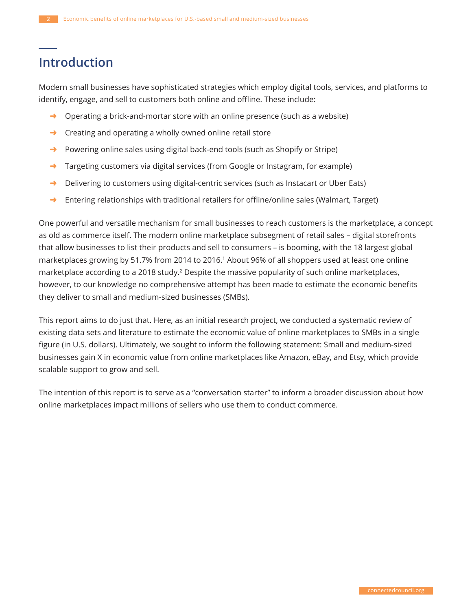## **Introduction**

Modern small businesses have sophisticated strategies which employ digital tools, services, and platforms to identify, engage, and sell to customers both online and offline. These include:

- $\rightarrow$  Operating a brick-and-mortar store with an online presence (such as a website)
- $\rightarrow$  Creating and operating a wholly owned online retail store
- $\rightarrow$  Powering online sales using digital back-end tools (such as Shopify or Stripe)
- → Targeting customers via digital services (from Google or Instagram, for example)
- $\rightarrow$  Delivering to customers using digital-centric services (such as Instacart or Uber Eats)
- $\rightarrow$  Entering relationships with traditional retailers for offline/online sales (Walmart, Target)

One powerful and versatile mechanism for small businesses to reach customers is the marketplace, a concept as old as commerce itself. The modern online marketplace subsegment of retail sales - digital storefronts that allow businesses to list their products and sell to consumers – is booming, with the 18 largest global marketplaces growing by 51.7% from 2014 to 2016.<sup>1</sup> About 96% of all shoppers used at least one online marketplace according to a 2018 study.<sup>2</sup> Despite the massive popularity of such online marketplaces, however, to our knowledge no comprehensive attempt has been made to estimate the economic benefits they deliver to small and medium-sized businesses (SMBs).

This report aims to do just that. Here, as an initial research project, we conducted a systematic review of existing data sets and literature to estimate the economic value of online marketplaces to SMBs in a single figure (in U.S. dollars). Ultimately, we sought to inform the following statement: Small and medium-sized businesses gain X in economic value from online marketplaces like Amazon, eBay, and Etsy, which provide scalable support to grow and sell.

The intention of this report is to serve as a "conversation starter" to inform a broader discussion about how online marketplaces impact millions of sellers who use them to conduct commerce.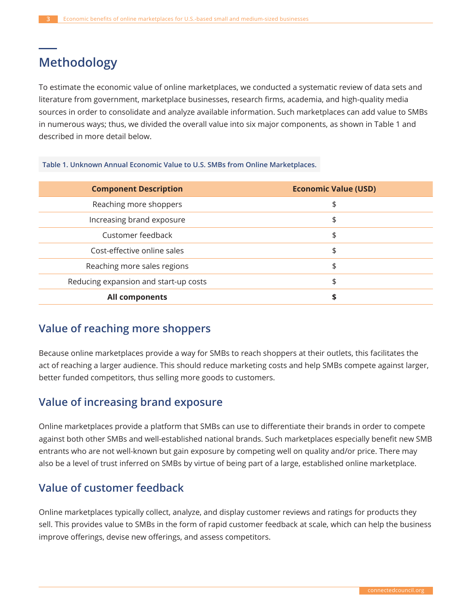## **Methodology**

To estimate the economic value of online marketplaces, we conducted a systematic review of data sets and literature from government, marketplace businesses, research firms, academia, and high-quality media sources in order to consolidate and analyze available information. Such marketplaces can add value to SMBs in numerous ways; thus, we divided the overall value into six major components, as shown in Table 1 and described in more detail below.

Table 1. Unknown Annual Economic Value to U.S. SMBs from Online Marketplaces.

| <b>Component Description</b>          | <b>Economic Value (USD)</b> |
|---------------------------------------|-----------------------------|
| Reaching more shoppers                | \$                          |
| Increasing brand exposure             | \$                          |
| Customer feedback                     | \$                          |
| Cost-effective online sales           | \$                          |
| Reaching more sales regions           | \$                          |
| Reducing expansion and start-up costs | \$                          |
| <b>All components</b>                 | \$                          |

#### **Value of reaching more shoppers**

Because online marketplaces provide a way for SMBs to reach shoppers at their outlets, this facilitates the act of reaching a larger audience. This should reduce marketing costs and help SMBs compete against larger, better funded competitors, thus selling more goods to customers.

#### **Value of increasing brand exposure**

Online marketplaces provide a platform that SMBs can use to differentiate their brands in order to compete against both other SMBs and well-established national brands. Such marketplaces especially benefit new SMB entrants who are not well-known but gain exposure by competing well on quality and/or price. There may also be a level of trust inferred on SMBs by virtue of being part of a large, established online marketplace.

#### **Value of customer feedback**

Online marketplaces typically collect, analyze, and display customer reviews and ratings for products they sell. This provides value to SMBs in the form of rapid customer feedback at scale, which can help the business improve offerings, devise new offerings, and assess competitors.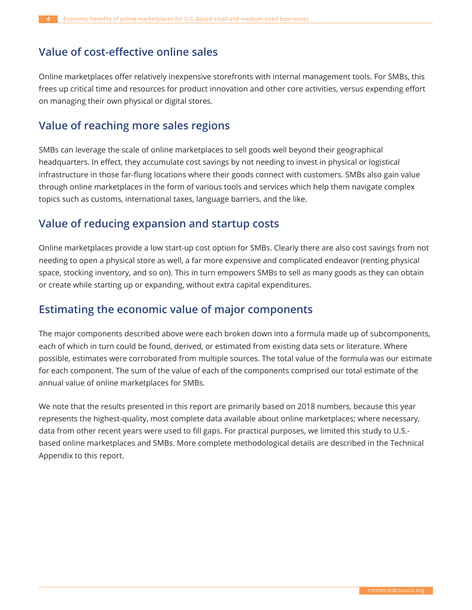#### **Value of cost-effective online sales**

Online marketplaces offer relatively inexpensive storefronts with internal management tools. For SMBs, this frees up critical time and resources for product innovation and other core activities, versus expending effort on managing their own physical or digital stores.

#### **Value of reaching more sales regions**

SMBs can leverage the scale of online marketplaces to sell goods well beyond their geographical headquarters. In effect, they accumulate cost savings by not needing to invest in physical or logistical infrastructure in those far-flung locations where their goods connect with customers. SMBs also gain value through online marketplaces in the form of various tools and services which help them navigate complex topics such as customs, international taxes, language barriers, and the like.

#### Value of reducing expansion and startup costs

Online marketplaces provide a low start-up cost option for SMBs. Clearly there are also cost savings from not needing to open a physical store as well, a far more expensive and complicated endeavor (renting physical space, stocking inventory, and so on). This in turn empowers SMBs to sell as many goods as they can obtain or create while starting up or expanding, without extra capital expenditures.

#### **Estimating the economic value of major components**

The major components described above were each broken down into a formula made up of subcomponents, each of which in turn could be found, derived, or estimated from existing data sets or literature. Where possible, estimates were corroborated from multiple sources. The total value of the formula was our estimate for each component. The sum of the value of each of the components comprised our total estimate of the annual value of online marketplaces for SMBs.

We note that the results presented in this report are primarily based on 2018 numbers, because this year represents the highest-quality, most complete data available about online marketplaces; where necessary, data from other recent years were used to fill gaps. For practical purposes, we limited this study to U.S.based online marketplaces and SMBs. More complete methodological details are described in the Technical Appendix to this report.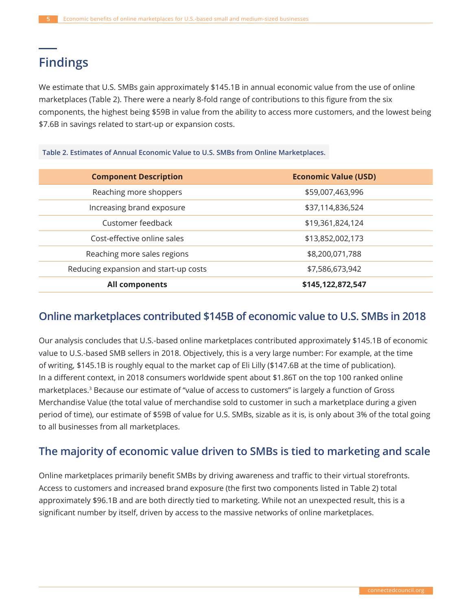## **Findings**

We estimate that U.S. SMBs gain approximately \$145.1B in annual economic value from the use of online marketplaces (Table 2). There were a nearly 8-fold range of contributions to this figure from the six components, the highest being \$59B in value from the ability to access more customers, and the lowest being \$7.6B in savings related to start-up or expansion costs.

#### Table 2. Estimates of Annual Economic Value to U.S. SMBs from Online Marketplaces.

| <b>Component Description</b>          | <b>Economic Value (USD)</b> |
|---------------------------------------|-----------------------------|
| Reaching more shoppers                | \$59,007,463,996            |
| Increasing brand exposure             | \$37,114,836,524            |
| Customer feedback                     | \$19,361,824,124            |
| Cost-effective online sales           | \$13,852,002,173            |
| Reaching more sales regions           | \$8,200,071,788             |
| Reducing expansion and start-up costs | \$7,586,673,942             |
| All components                        | \$145,122,872,547           |

#### **2018** Online marketplaces contributed \$145B of economic value to U.S. SMBs in 2018

Our analysis concludes that U.S.-based online marketplaces contributed approximately \$145.1B of economic value to U.S.-based SMB sellers in 2018. Objectively, this is a very large number: For example, at the time of writing, \$145.1B is roughly equal to the market cap of Eli Lilly (\$147.6B at the time of publication). In a different context, in 2018 consumers worldwide spent about \$1.86T on the top 100 ranked online marketplaces.<sup>3</sup> Because our estimate of "value of access to customers" is largely a function of Gross Merchandise Value (the total value of merchandise sold to customer in such a marketplace during a given period of time), our estimate of \$59B of value for U.S. SMBs, sizable as it is, is only about 3% of the total going to all businesses from all marketplaces.

#### The majority of economic value driven to SMBs is tied to marketing and scale

Online marketplaces primarily benefit SMBs by driving awareness and traffic to their virtual storefronts. Access to customers and increased brand exposure (the first two components listed in Table 2) total approximately \$96.1B and are both directly tied to marketing. While not an unexpected result, this is a significant number by itself, driven by access to the massive networks of online marketplaces.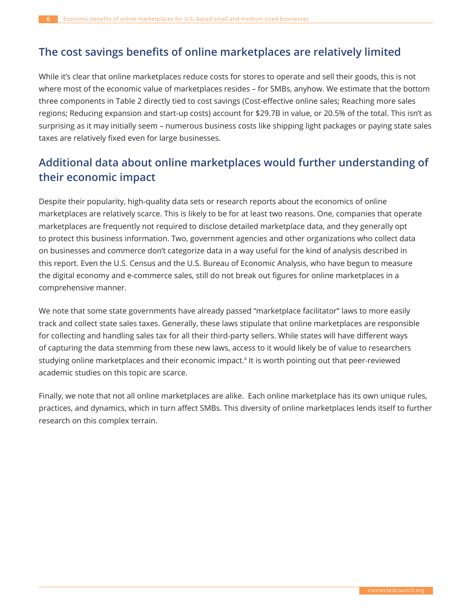#### The cost savings benefits of online marketplaces are relatively limited

While it's clear that online marketplaces reduce costs for stores to operate and sell their goods, this is not where most of the economic value of marketplaces resides - for SMBs, anyhow. We estimate that the bottom three components in Table 2 directly tied to cost savings (Cost-effective online sales; Reaching more sales regions; Reducing expansion and start-up costs) account for \$29.7B in value, or 20.5% of the total. This isn't as surprising as it may initially seem - numerous business costs like shipping light packages or paying state sales taxes are relatively fixed even for large businesses.

### Additional data about online marketplaces would further understanding of their economic impact

Despite their popularity, high-quality data sets or research reports about the economics of online marketplaces are relatively scarce. This is likely to be for at least two reasons. One, companies that operate marketplaces are frequently not required to disclose detailed marketplace data, and they generally opt to protect this business information. Two, government agencies and other organizations who collect data on businesses and commerce don't categorize data in a way useful for the kind of analysis described in this report. Even the U.S. Census and the U.S. Bureau of Economic Analysis, who have begun to measure the digital economy and e-commerce sales, still do not break out figures for online marketplaces in a comprehensive manner.

We note that some state governments have already passed "marketplace facilitator" laws to more easily track and collect state sales taxes. Generally, these laws stipulate that online marketplaces are responsible for collecting and handling sales tax for all their third-party sellers. While states will have different ways of capturing the data stemming from these new laws, access to it would likely be of value to researchers studying online marketplaces and their economic impact.<sup>4</sup> It is worth pointing out that peer-reviewed academic studies on this topic are scarce.

Finally, we note that not all online marketplaces are alike. Each online marketplace has its own unique rules, practices, and dynamics, which in turn affect SMBs. This diversity of online marketplaces lends itself to further research on this complex terrain.